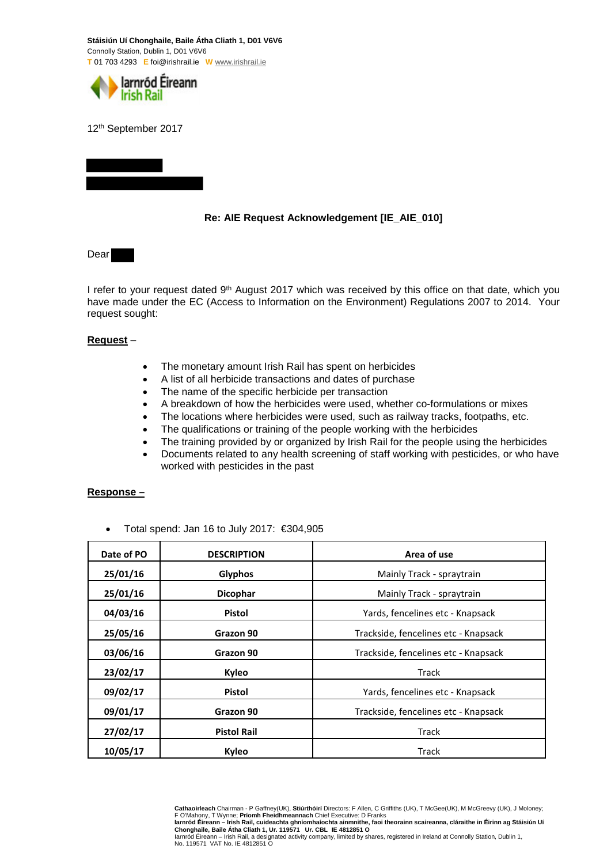**Stáisiún Uí Chonghaile, Baile Átha Cliath 1, D01 V6V6**  Connolly Station, Dublin 1, D01 V6V6 **T** 01 703 4293 **E** foi@irishrail.ie **W** www.irishrail.ie



12th September 2017

## **Re: AIE Request Acknowledgement [IE\_AIE\_010]**

Dear

I refer to your request dated 9<sup>th</sup> August 2017 which was received by this office on that date, which you have made under the EC (Access to Information on the Environment) Regulations 2007 to 2014. Your request sought:

## **Request** –

- The monetary amount Irish Rail has spent on herbicides
- A list of all herbicide transactions and dates of purchase
- The name of the specific herbicide per transaction
- A breakdown of how the herbicides were used, whether co-formulations or mixes
- The locations where herbicides were used, such as railway tracks, footpaths, etc.
- The qualifications or training of the people working with the herbicides
- The training provided by or organized by Irish Rail for the people using the herbicides
- Documents related to any health screening of staff working with pesticides, or who have worked with pesticides in the past

## **Response –**

• Total spend: Jan 16 to July 2017: €304,905

| Date of PO | <b>DESCRIPTION</b> | Area of use                          |
|------------|--------------------|--------------------------------------|
| 25/01/16   | Glyphos            | Mainly Track - spraytrain            |
| 25/01/16   | <b>Dicophar</b>    | Mainly Track - spraytrain            |
| 04/03/16   | <b>Pistol</b>      | Yards, fencelines etc - Knapsack     |
| 25/05/16   | Grazon 90          | Trackside, fencelines etc - Knapsack |
| 03/06/16   | Grazon 90          | Trackside, fencelines etc - Knapsack |
| 23/02/17   | Kyleo              | Track                                |
| 09/02/17   | <b>Pistol</b>      | Yards, fencelines etc - Knapsack     |
| 09/01/17   | Grazon 90          | Trackside, fencelines etc - Knapsack |
| 27/02/17   | <b>Pistol Rail</b> | Track                                |
| 10/05/17   | Kyleo              | Track                                |

Cathaoirleach Chairman - P Gaffney(UK), Stiúrthóirí Directors: F Allen, C Griffiths (UK), T McGee(UK), M McGreevy (UK), J Moloney;<br>F O'Mahony, T Wynne; Prío**mh Fheidhmeannach** Chief Executive: D Franks<br>Iarnród Éireann – I

Iarnród Éireann – Irish Rail, a designated activity company, limited by shares, registered in Ireland at Connolly Station, Dublin 1, No. 119571 VAT No. IE 4812851 O